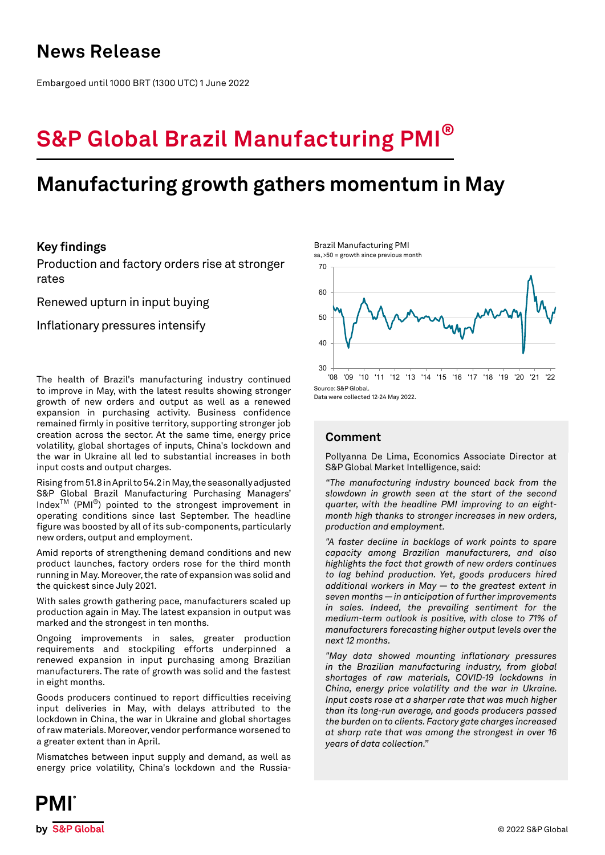## **News Release**

Embargoed until 1000 BRT (1300 UTC) 1 June 2022

# **S&P Global Brazil Manufacturing PMI®**

## **Manufacturing growth gathers momentum in May**

## **Key findings**

Production and factory orders rise at stronger rates

Renewed upturn in input buying

Inflationary pressures intensify

The health of Brazil's manufacturing industry continued to improve in May, with the latest results showing stronger growth of new orders and output as well as a renewed expansion in purchasing activity. Business confidence remained firmly in positive territory, supporting stronger job creation across the sector. At the same time, energy price volatility, global shortages of inputs, China's lockdown and the war in Ukraine all led to substantial increases in both input costs and output charges.

Rising from 51.8 in April to 54.2 in May, the seasonally adjusted S&P Global Brazil Manufacturing Purchasing Managers' IndexTM (PMI®) pointed to the strongest improvement in operating conditions since last September. The headline figure was boosted by all of its sub-components, particularly new orders, output and employment.

Amid reports of strengthening demand conditions and new product launches, factory orders rose for the third month running in May. Moreover, the rate of expansion was solid and the quickest since July 2021.

With sales growth gathering pace, manufacturers scaled up production again in May. The latest expansion in output was marked and the strongest in ten months.

Ongoing improvements in sales, greater production requirements and stockpiling efforts underpinned a renewed expansion in input purchasing among Brazilian manufacturers. The rate of growth was solid and the fastest in eight months.

Goods producers continued to report difficulties receiving input deliveries in May, with delays attributed to the lockdown in China, the war in Ukraine and global shortages of raw materials. Moreover, vendor performance worsened to a greater extent than in April.

Mismatches between input supply and demand, as well as energy price volatility, China's lockdown and the RussiaBrazil Manufacturing PMI





Data were collected 12-24 May 2022.

## **Comment**

Pollyanna De Lima, Economics Associate Director at S&P Global Market Intelligence, said:

*"The manufacturing industry bounced back from the slowdown in growth seen at the start of the second quarter, with the headline PMI improving to an eightmonth high thanks to stronger increases in new orders, production and employment.*

*"A faster decline in backlogs of work points to spare capacity among Brazilian manufacturers, and also highlights the fact that growth of new orders continues to lag behind production. Yet, goods producers hired additional workers in May — to the greatest extent in seven months — in anticipation of further improvements in sales. Indeed, the prevailing sentiment for the medium-term outlook is positive, with close to 71% of manufacturers forecasting higher output levels over the next 12 months.*

*"May data showed mounting inflationary pressures in the Brazilian manufacturing industry, from global shortages of raw materials, COVID-19 lockdowns in China, energy price volatility and the war in Ukraine. Input costs rose at a sharper rate that was much higher than its long-run average, and goods producers passed the burden on to clients. Factory gate charges increased at sharp rate that was among the strongest in over 16 years of data collection."*